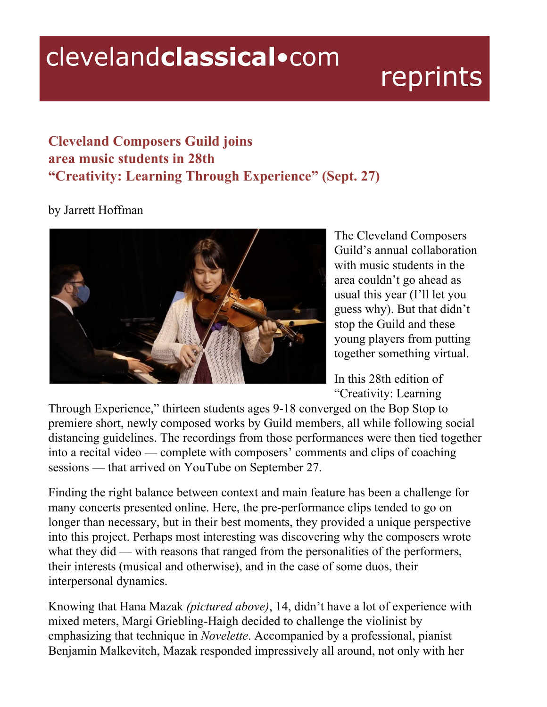## clevelandclassical.com

## reprints

## **Cleveland Composers Guild joins area music students in 28th "Creativity: Learning Through Experience" (Sept. 27)**

## by Jarrett Hoffman



The Cleveland Composers Guild's annual collaboration with music students in the area couldn't go ahead as usual this year (I'll let you guess why). But that didn't stop the Guild and these young players from putting together something virtual.

In this 28th edition of "Creativity: Learning

Through Experience," thirteen students ages 9-18 converged on the Bop Stop to premiere short, newly composed works by Guild members, all while following social distancing guidelines. The recordings from those performances were then tied together into a recital video — complete with composers' comments and clips of coaching sessions — that arrived on YouTube on September 27.

Finding the right balance between context and main feature has been a challenge for many concerts presented online. Here, the pre-performance clips tended to go on longer than necessary, but in their best moments, they provided a unique perspective into this project. Perhaps most interesting was discovering why the composers wrote what they did — with reasons that ranged from the personalities of the performers, their interests (musical and otherwise), and in the case of some duos, their interpersonal dynamics.

Knowing that Hana Mazak *(pictured above)*, 14, didn't have a lot of experience with mixed meters, Margi Griebling-Haigh decided to challenge the violinist by emphasizing that technique in *Novelette*. Accompanied by a professional, pianist Benjamin Malkevitch, Mazak responded impressively all around, not only with her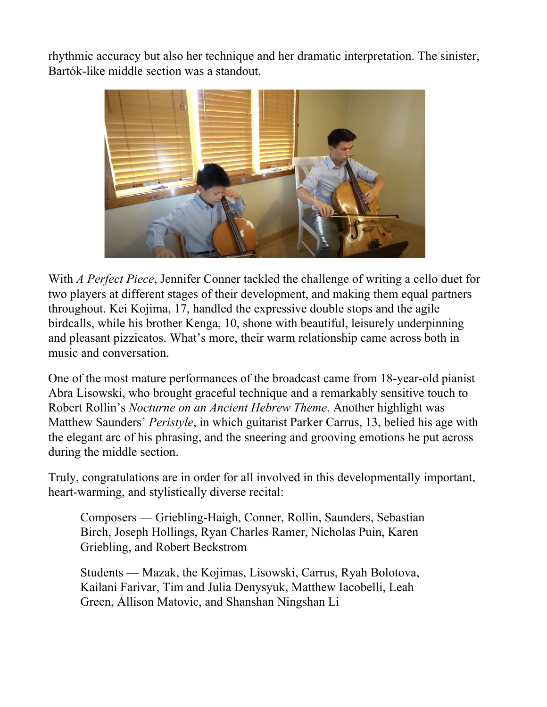rhythmic accuracy but also her technique and her dramatic interpretation. The sinister, Bartók-like middle section was a standout.



With *A Perfect Piece*, Jennifer Conner tackled the challenge of writing a cello duet for two players at different stages of their development, and making them equal partners throughout. Kei Kojima, 17, handled the expressive double stops and the agile birdcalls, while his brother Kenga, 10, shone with beautiful, leisurely underpinning and pleasant pizzicatos. What's more, their warm relationship came across both in music and conversation.

One of the most mature performances of the broadcast came from 18-year-old pianist Abra Lisowski, who brought graceful technique and a remarkably sensitive touch to Robert Rollin's *Nocturne on an Ancient Hebrew Theme*. Another highlight was Matthew Saunders' *Peristyle*, in which guitarist Parker Carrus, 13, belied his age with the elegant arc of his phrasing, and the sneering and grooving emotions he put across during the middle section.

Truly, congratulations are in order for all involved in this developmentally important, heart-warming, and stylistically diverse recital:

Composers — Griebling-Haigh, Conner, Rollin, Saunders, Sebastian Birch, Joseph Hollings, Ryan Charles Ramer, Nicholas Puin, Karen Griebling, and Robert Beckstrom

Students — Mazak, the Kojimas, Lisowski, Carrus, Ryah Bolotova, Kailani Farivar, Tim and Julia Denysyuk, Matthew Iacobelli, Leah Green, Allison Matovic, and Shanshan Ningshan Li